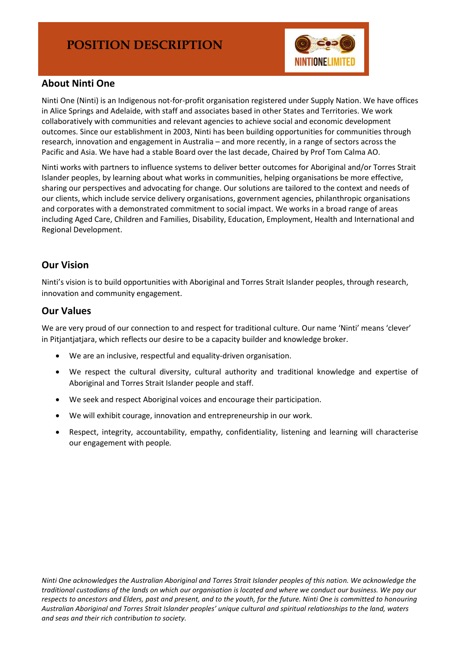

## **About Ninti One**

Ninti One (Ninti) is an Indigenous not-for-profit organisation registered under Supply Nation. We have offices in Alice Springs and Adelaide, with staff and associates based in other States and Territories. We work collaboratively with communities and relevant agencies to achieve social and economic development outcomes. Since our establishment in 2003, Ninti has been building opportunities for communities through research, innovation and engagement in Australia – and more recently, in a range of sectors across the Pacific and Asia. We have had a stable Board over the last decade, Chaired by Prof Tom Calma AO.

Ninti works with partners to influence systems to deliver better outcomes for Aboriginal and/or Torres Strait Islander peoples, by learning about what works in communities, helping organisations be more effective, sharing our perspectives and advocating for change. Our solutions are tailored to the context and needs of our clients, which include service delivery organisations, government agencies, philanthropic organisations and corporates with a demonstrated commitment to social impact. We works in a broad range of areas including Aged Care, Children and Families, Disability, Education, Employment, Health and International and Regional Development.

## **Our Vision**

Ninti's vision is to build opportunities with Aboriginal and Torres Strait Islander peoples, through research, innovation and community engagement.

### **Our Values**

We are very proud of our connection to and respect for traditional culture. Our name 'Ninti' means 'clever' in Pitjantjatjara, which reflects our desire to be a capacity builder and knowledge broker.

- We are an inclusive, respectful and equality-driven organisation.
- We respect the cultural diversity, cultural authority and traditional knowledge and expertise of Aboriginal and Torres Strait Islander people and staff.
- We seek and respect Aboriginal voices and encourage their participation.
- We will exhibit courage, innovation and entrepreneurship in our work.
- Respect, integrity, accountability, empathy, confidentiality, listening and learning will characterise our engagement with people*.*

*Ninti One acknowledges the Australian Aboriginal and Torres Strait Islander peoples of this nation. We acknowledge the traditional custodians of the lands on which our organisation is located and where we conduct our business. We pay our respects to ancestors and Elders, past and present, and to the youth, for the future. Ninti One is committed to honouring Australian Aboriginal and Torres Strait Islander peoples' unique cultural and spiritual relationships to the land, waters and seas and their rich contribution to society.*